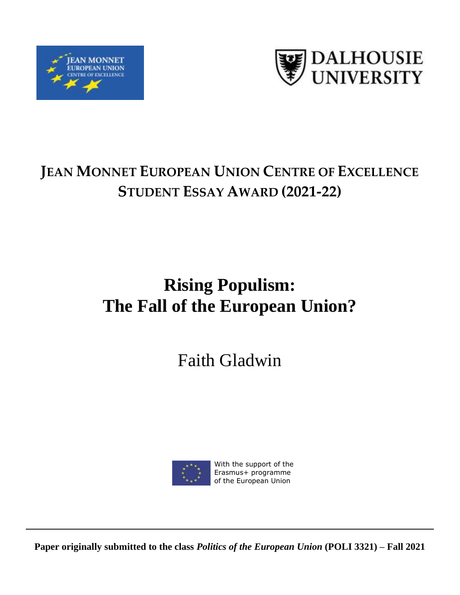



### **JEAN MONNET EUROPEAN UNION CENTRE OF EXCELLENCE STUDENT ESSAY AWARD (2021-22)**

## **Rising Populism: The Fall of the European Union?**

# Faith Gladwin



With the support of the Erasmus+ programme of the European Union

**Paper originally submitted to the class** *Politics of the European Union* **(POLI 3321) – Fall 2021**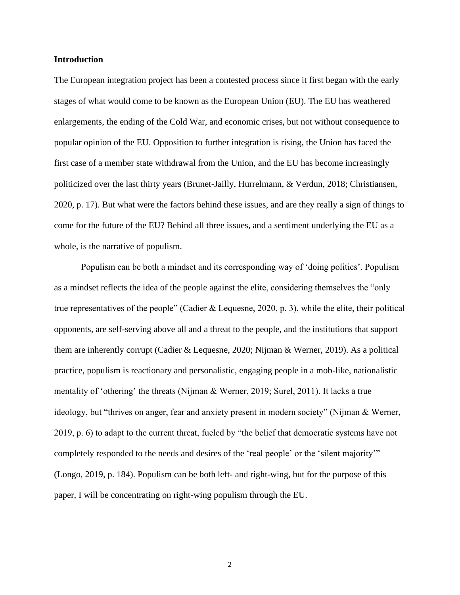#### **Introduction**

The European integration project has been a contested process since it first began with the early stages of what would come to be known as the European Union (EU). The EU has weathered enlargements, the ending of the Cold War, and economic crises, but not without consequence to popular opinion of the EU. Opposition to further integration is rising, the Union has faced the first case of a member state withdrawal from the Union, and the EU has become increasingly politicized over the last thirty years (Brunet-Jailly, Hurrelmann, & Verdun, 2018; Christiansen, 2020, p. 17). But what were the factors behind these issues, and are they really a sign of things to come for the future of the EU? Behind all three issues, and a sentiment underlying the EU as a whole, is the narrative of populism.

Populism can be both a mindset and its corresponding way of 'doing politics'. Populism as a mindset reflects the idea of the people against the elite, considering themselves the "only true representatives of the people" (Cadier & Lequesne, 2020, p. 3), while the elite, their political opponents, are self-serving above all and a threat to the people, and the institutions that support them are inherently corrupt (Cadier & Lequesne, 2020; Nijman & Werner, 2019). As a political practice, populism is reactionary and personalistic, engaging people in a mob-like, nationalistic mentality of 'othering' the threats (Nijman & Werner, 2019; Surel, 2011). It lacks a true ideology, but "thrives on anger, fear and anxiety present in modern society" (Nijman & Werner, 2019, p. 6) to adapt to the current threat, fueled by "the belief that democratic systems have not completely responded to the needs and desires of the 'real people' or the 'silent majority'" (Longo, 2019, p. 184). Populism can be both left- and right-wing, but for the purpose of this paper, I will be concentrating on right-wing populism through the EU.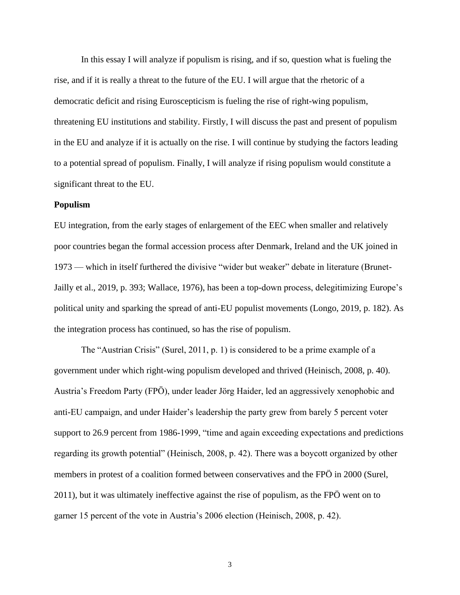In this essay I will analyze if populism is rising, and if so, question what is fueling the rise, and if it is really a threat to the future of the EU. I will argue that the rhetoric of a democratic deficit and rising Euroscepticism is fueling the rise of right-wing populism, threatening EU institutions and stability. Firstly, I will discuss the past and present of populism in the EU and analyze if it is actually on the rise. I will continue by studying the factors leading to a potential spread of populism. Finally, I will analyze if rising populism would constitute a significant threat to the EU.

#### **Populism**

EU integration, from the early stages of enlargement of the EEC when smaller and relatively poor countries began the formal accession process after Denmark, Ireland and the UK joined in 1973 — which in itself furthered the divisive "wider but weaker" debate in literature (Brunet-Jailly et al., 2019, p. 393; Wallace, 1976), has been a top-down process, delegitimizing Europe's political unity and sparking the spread of anti-EU populist movements (Longo, 2019, p. 182). As the integration process has continued, so has the rise of populism.

The "Austrian Crisis" (Surel, 2011, p. 1) is considered to be a prime example of a government under which right-wing populism developed and thrived (Heinisch, 2008, p. 40). Austria's Freedom Party (FPÖ), under leader Jörg Haider, led an aggressively xenophobic and anti-EU campaign, and under Haider's leadership the party grew from barely 5 percent voter support to 26.9 percent from 1986-1999, "time and again exceeding expectations and predictions regarding its growth potential" (Heinisch, 2008, p. 42). There was a boycott organized by other members in protest of a coalition formed between conservatives and the FPÖ in 2000 (Surel, 2011), but it was ultimately ineffective against the rise of populism, as the FPÖ went on to garner 15 percent of the vote in Austria's 2006 election (Heinisch, 2008, p. 42).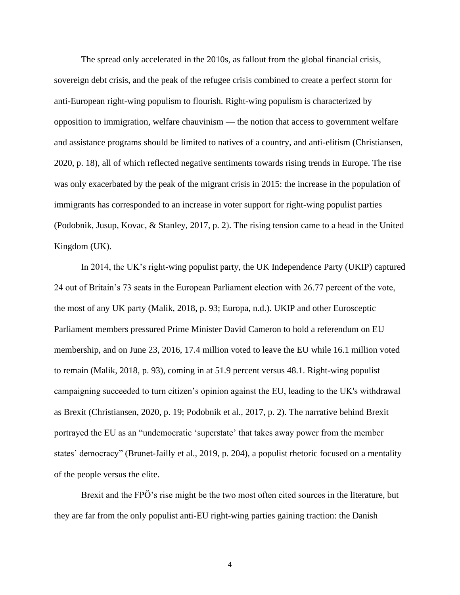The spread only accelerated in the 2010s, as fallout from the global financial crisis, sovereign debt crisis, and the peak of the refugee crisis combined to create a perfect storm for anti-European right-wing populism to flourish. Right-wing populism is characterized by opposition to immigration, welfare chauvinism — the notion that access to government welfare and assistance programs should be limited to natives of a country, and anti-elitism (Christiansen, 2020, p. 18), all of which reflected negative sentiments towards rising trends in Europe. The rise was only exacerbated by the peak of the migrant crisis in 2015: the increase in the population of immigrants has corresponded to an increase in voter support for right-wing populist parties (Podobnik, Jusup, Kovac, & Stanley, 2017, p. 2). The rising tension came to a head in the United Kingdom (UK).

In 2014, the UK's right-wing populist party, the UK Independence Party (UKIP) captured 24 out of Britain's 73 seats in the European Parliament election with 26.77 percent of the vote, the most of any UK party (Malik, 2018, p. 93; Europa, n.d.). UKIP and other Eurosceptic Parliament members pressured Prime Minister David Cameron to hold a referendum on EU membership, and on June 23, 2016, 17.4 million voted to leave the EU while 16.1 million voted to remain (Malik, 2018, p. 93), coming in at 51.9 percent versus 48.1. Right-wing populist campaigning succeeded to turn citizen's opinion against the EU, leading to the UK's withdrawal as Brexit (Christiansen, 2020, p. 19; Podobnik et al., 2017, p. 2). The narrative behind Brexit portrayed the EU as an "undemocratic 'superstate' that takes away power from the member states' democracy" (Brunet-Jailly et al., 2019, p. 204), a populist rhetoric focused on a mentality of the people versus the elite.

Brexit and the FPÖ's rise might be the two most often cited sources in the literature, but they are far from the only populist anti-EU right-wing parties gaining traction: the Danish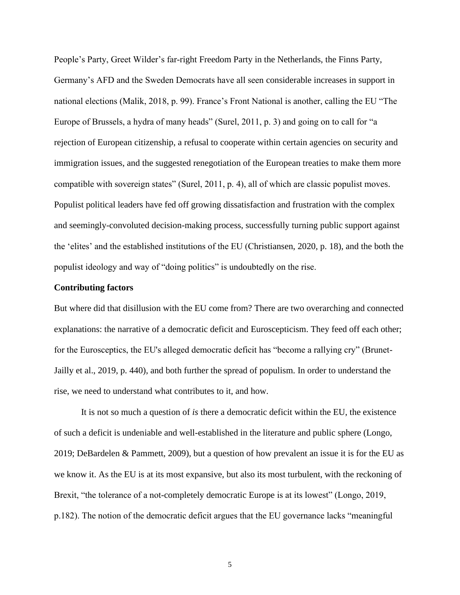People's Party, Greet Wilder's far-right Freedom Party in the Netherlands, the Finns Party, Germany's AFD and the Sweden Democrats have all seen considerable increases in support in national elections (Malik, 2018, p. 99). France's Front National is another, calling the EU "The Europe of Brussels, a hydra of many heads" (Surel, 2011, p. 3) and going on to call for "a rejection of European citizenship, a refusal to cooperate within certain agencies on security and immigration issues, and the suggested renegotiation of the European treaties to make them more compatible with sovereign states" (Surel, 2011, p. 4), all of which are classic populist moves. Populist political leaders have fed off growing dissatisfaction and frustration with the complex and seemingly-convoluted decision-making process, successfully turning public support against the 'elites' and the established institutions of the EU (Christiansen, 2020, p. 18), and the both the populist ideology and way of "doing politics" is undoubtedly on the rise.

#### **Contributing factors**

But where did that disillusion with the EU come from? There are two overarching and connected explanations: the narrative of a democratic deficit and Euroscepticism. They feed off each other; for the Eurosceptics, the EU's alleged democratic deficit has "become a rallying cry" (Brunet-Jailly et al., 2019, p. 440), and both further the spread of populism. In order to understand the rise, we need to understand what contributes to it, and how.

It is not so much a question of *is* there a democratic deficit within the EU, the existence of such a deficit is undeniable and well-established in the literature and public sphere (Longo, 2019; DeBardelen & Pammett, 2009), but a question of how prevalent an issue it is for the EU as we know it. As the EU is at its most expansive, but also its most turbulent, with the reckoning of Brexit, "the tolerance of a not-completely democratic Europe is at its lowest" (Longo, 2019, p.182). The notion of the democratic deficit argues that the EU governance lacks "meaningful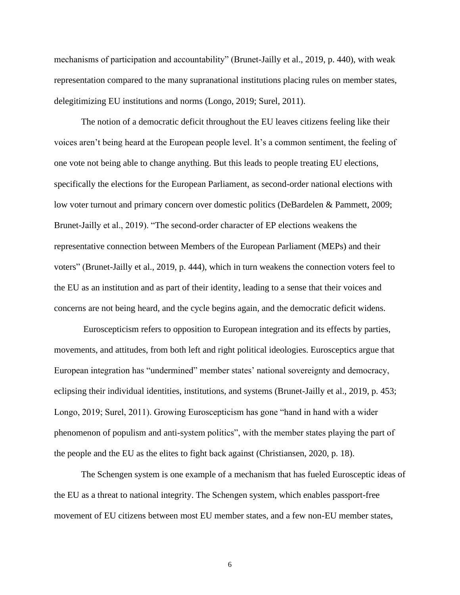mechanisms of participation and accountability" (Brunet-Jailly et al., 2019, p. 440), with weak representation compared to the many supranational institutions placing rules on member states, delegitimizing EU institutions and norms (Longo, 2019; Surel, 2011).

The notion of a democratic deficit throughout the EU leaves citizens feeling like their voices aren't being heard at the European people level. It's a common sentiment, the feeling of one vote not being able to change anything. But this leads to people treating EU elections, specifically the elections for the European Parliament, as second-order national elections with low voter turnout and primary concern over domestic politics (DeBardelen & Pammett, 2009; Brunet-Jailly et al., 2019). "The second-order character of EP elections weakens the representative connection between Members of the European Parliament (MEPs) and their voters" (Brunet-Jailly et al., 2019, p. 444), which in turn weakens the connection voters feel to the EU as an institution and as part of their identity, leading to a sense that their voices and concerns are not being heard, and the cycle begins again, and the democratic deficit widens.

Euroscepticism refers to opposition to European integration and its effects by parties, movements, and attitudes, from both left and right political ideologies. Eurosceptics argue that European integration has "undermined" member states' national sovereignty and democracy, eclipsing their individual identities, institutions, and systems (Brunet-Jailly et al., 2019, p. 453; Longo, 2019; Surel, 2011). Growing Euroscepticism has gone "hand in hand with a wider phenomenon of populism and anti-system politics", with the member states playing the part of the people and the EU as the elites to fight back against (Christiansen, 2020, p. 18).

The Schengen system is one example of a mechanism that has fueled Eurosceptic ideas of the EU as a threat to national integrity. The Schengen system, which enables passport-free movement of EU citizens between most EU member states, and a few non-EU member states,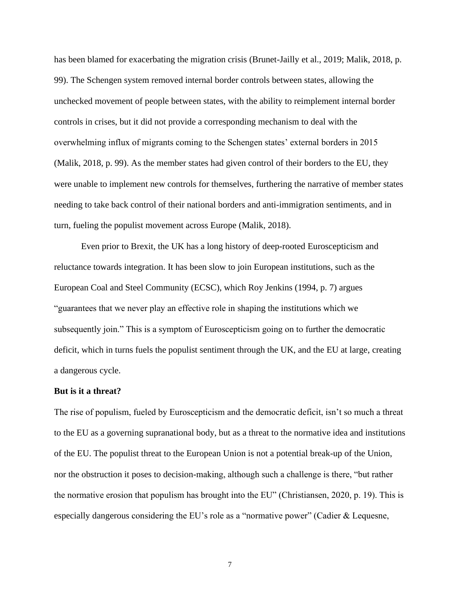has been blamed for exacerbating the migration crisis (Brunet-Jailly et al., 2019; Malik, 2018, p. 99). The Schengen system removed internal border controls between states, allowing the unchecked movement of people between states, with the ability to reimplement internal border controls in crises, but it did not provide a corresponding mechanism to deal with the overwhelming influx of migrants coming to the Schengen states' external borders in 2015 (Malik, 2018, p. 99). As the member states had given control of their borders to the EU, they were unable to implement new controls for themselves, furthering the narrative of member states needing to take back control of their national borders and anti-immigration sentiments, and in turn, fueling the populist movement across Europe (Malik, 2018).

Even prior to Brexit, the UK has a long history of deep-rooted Euroscepticism and reluctance towards integration. It has been slow to join European institutions, such as the European Coal and Steel Community (ECSC), which Roy Jenkins (1994, p. 7) argues "guarantees that we never play an effective role in shaping the institutions which we subsequently join." This is a symptom of Euroscepticism going on to further the democratic deficit, which in turns fuels the populist sentiment through the UK, and the EU at large, creating a dangerous cycle.

#### **But is it a threat?**

The rise of populism, fueled by Euroscepticism and the democratic deficit, isn't so much a threat to the EU as a governing supranational body, but as a threat to the normative idea and institutions of the EU. The populist threat to the European Union is not a potential break-up of the Union, nor the obstruction it poses to decision-making, although such a challenge is there, "but rather the normative erosion that populism has brought into the EU" (Christiansen, 2020, p. 19). This is especially dangerous considering the EU's role as a "normative power" (Cadier & Lequesne,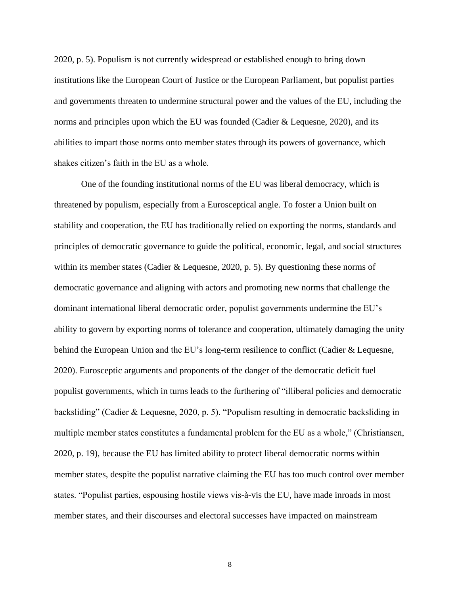2020, p. 5). Populism is not currently widespread or established enough to bring down institutions like the European Court of Justice or the European Parliament, but populist parties and governments threaten to undermine structural power and the values of the EU, including the norms and principles upon which the EU was founded (Cadier & Lequesne, 2020), and its abilities to impart those norms onto member states through its powers of governance, which shakes citizen's faith in the EU as a whole.

One of the founding institutional norms of the EU was liberal democracy, which is threatened by populism, especially from a Eurosceptical angle. To foster a Union built on stability and cooperation, the EU has traditionally relied on exporting the norms, standards and principles of democratic governance to guide the political, economic, legal, and social structures within its member states (Cadier & Lequesne, 2020, p. 5). By questioning these norms of democratic governance and aligning with actors and promoting new norms that challenge the dominant international liberal democratic order, populist governments undermine the EU's ability to govern by exporting norms of tolerance and cooperation, ultimately damaging the unity behind the European Union and the EU's long-term resilience to conflict (Cadier & Lequesne, 2020). Eurosceptic arguments and proponents of the danger of the democratic deficit fuel populist governments, which in turns leads to the furthering of "illiberal policies and democratic backsliding" (Cadier & Lequesne, 2020, p. 5). "Populism resulting in democratic backsliding in multiple member states constitutes a fundamental problem for the EU as a whole," (Christiansen, 2020, p. 19), because the EU has limited ability to protect liberal democratic norms within member states, despite the populist narrative claiming the EU has too much control over member states. "Populist parties, espousing hostile views vis-à-vis the EU, have made inroads in most member states, and their discourses and electoral successes have impacted on mainstream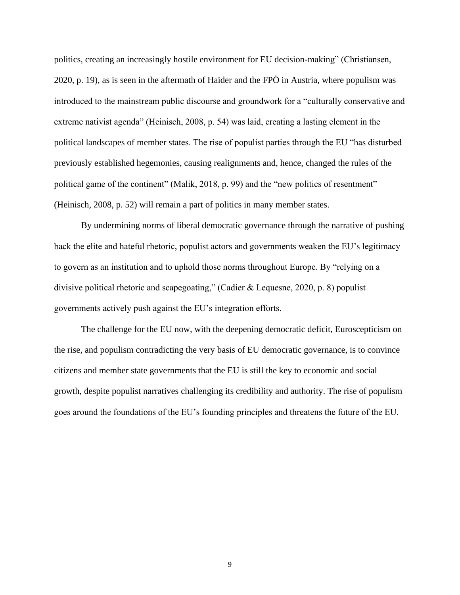politics, creating an increasingly hostile environment for EU decision-making" (Christiansen, 2020, p. 19), as is seen in the aftermath of Haider and the FPÖ in Austria, where populism was introduced to the mainstream public discourse and groundwork for a "culturally conservative and extreme nativist agenda" (Heinisch, 2008, p. 54) was laid, creating a lasting element in the political landscapes of member states. The rise of populist parties through the EU "has disturbed previously established hegemonies, causing realignments and, hence, changed the rules of the political game of the continent" (Malik, 2018, p. 99) and the "new politics of resentment" (Heinisch, 2008, p. 52) will remain a part of politics in many member states.

By undermining norms of liberal democratic governance through the narrative of pushing back the elite and hateful rhetoric, populist actors and governments weaken the EU's legitimacy to govern as an institution and to uphold those norms throughout Europe. By "relying on a divisive political rhetoric and scapegoating," (Cadier & Lequesne, 2020, p. 8) populist governments actively push against the EU's integration efforts.

The challenge for the EU now, with the deepening democratic deficit, Euroscepticism on the rise, and populism contradicting the very basis of EU democratic governance, is to convince citizens and member state governments that the EU is still the key to economic and social growth, despite populist narratives challenging its credibility and authority. The rise of populism goes around the foundations of the EU's founding principles and threatens the future of the EU.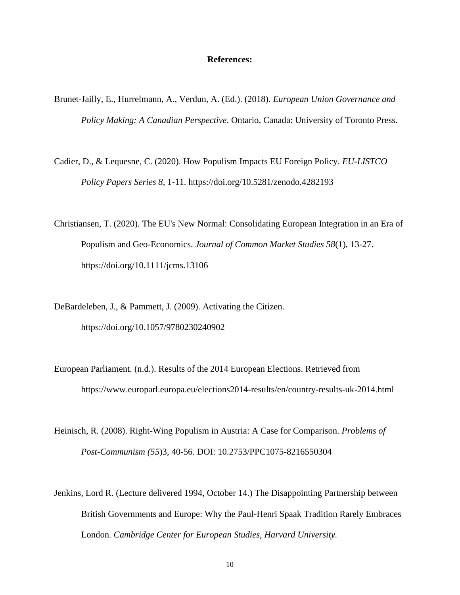#### **References:**

- Brunet-Jailly, E., Hurrelmann, A., Verdun, A. (Ed.). (2018). *European Union Governance and Policy Making: A Canadian Perspective*. Ontario, Canada: University of Toronto Press.
- Cadier, D., & Lequesne, C. (2020). How Populism Impacts EU Foreign Policy. *EU-LISTCO Policy Papers Series 8*, 1-11. https://doi.org/10.5281/zenodo.4282193
- Christiansen, T. (2020). The EU's New Normal: Consolidating European Integration in an Era of Populism and Geo-Economics. *Journal of Common Market Studies 58*(1), 13-27. https://doi.org/10.1111/jcms.13106
- DeBardeleben, J., & Pammett, J. (2009). Activating the Citizen. https://doi.org/10.1057/9780230240902
- European Parliament. (n.d.). Results of the 2014 European Elections. Retrieved from https://www.europarl.europa.eu/elections2014-results/en/country-results-uk-2014.html
- Heinisch, R. (2008). Right-Wing Populism in Austria: A Case for Comparison. *Problems of Post-Communism (55*)3, 40-56. DOI: 10.2753/PPC1075-8216550304
- Jenkins, Lord R. (Lecture delivered 1994, October 14.) The Disappointing Partnership between British Governments and Europe: Why the Paul-Henri Spaak Tradition Rarely Embraces London*. Cambridge Center for European Studies, Harvard University.*